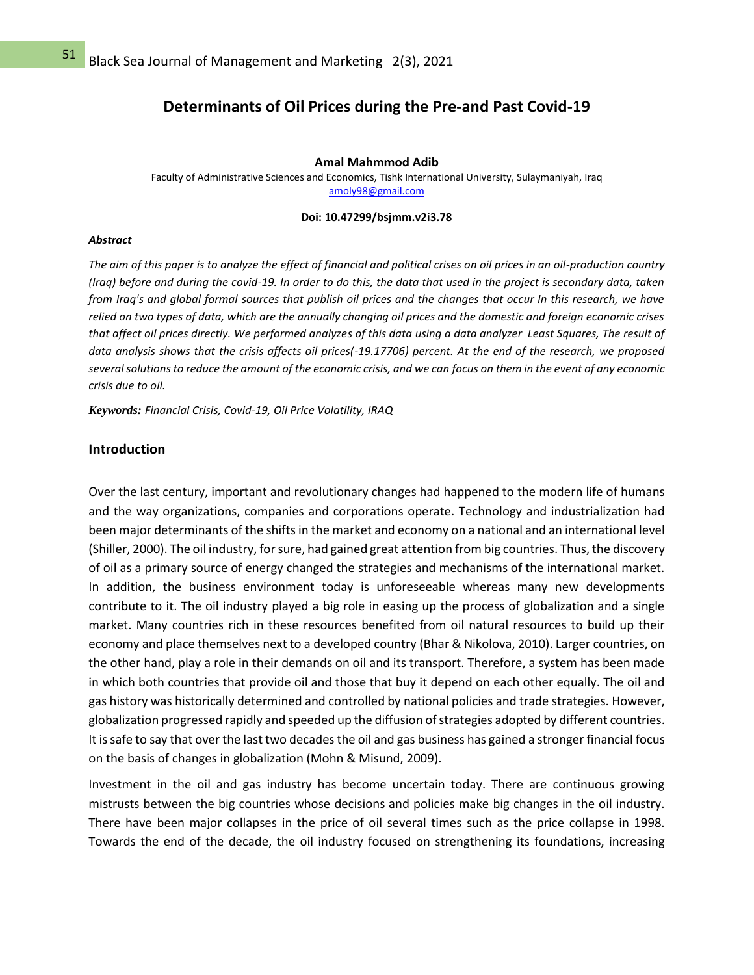## **Determinants of Oil Prices during the Pre-and Past Covid-19**

### **Amal Mahmmod Adib**

Faculty of Administrative Sciences and Economics, Tishk International University, Sulaymaniyah, Iraq [amoly98@gmail.com](mailto:amoly98@gmail.com)

### **Doi: 10.47299/bsjmm.v2i3.78**

#### *Abstract*

*The aim of this paper is to analyze the effect of financial and political crises on oil prices in an oil-production country (Iraq) before and during the covid-19. In order to do this, the data that used in the project is secondary data, taken from Iraq's and global formal sources that publish oil prices and the changes that occur In this research, we have relied on two types of data, which are the annually changing oil prices and the domestic and foreign economic crises that affect oil prices directly. We performed analyzes of this data using a data analyzer Least Squares, The result of data analysis shows that the crisis affects oil prices(-19.17706) percent. At the end of the research, we proposed several solutions to reduce the amount of the economic crisis, and we can focus on them in the event of any economic crisis due to oil.*

*Keywords: Financial Crisis, Covid-19, Oil Price Volatility, IRAQ*

### **Introduction**

Over the last century, important and revolutionary changes had happened to the modern life of humans and the way organizations, companies and corporations operate. Technology and industrialization had been major determinants of the shifts in the market and economy on a national and an international level (Shiller, 2000). The oil industry, for sure, had gained great attention from big countries. Thus, the discovery of oil as a primary source of energy changed the strategies and mechanisms of the international market. In addition, the business environment today is unforeseeable whereas many new developments contribute to it. The oil industry played a big role in easing up the process of globalization and a single market. Many countries rich in these resources benefited from oil natural resources to build up their economy and place themselves next to a developed country (Bhar & Nikolova, 2010). Larger countries, on the other hand, play a role in their demands on oil and its transport. Therefore, a system has been made in which both countries that provide oil and those that buy it depend on each other equally. The oil and gas history was historically determined and controlled by national policies and trade strategies. However, globalization progressed rapidly and speeded up the diffusion of strategies adopted by different countries. It is safe to say that over the last two decades the oil and gas business has gained a stronger financial focus on the basis of changes in globalization (Mohn & Misund, 2009).

Investment in the oil and gas industry has become uncertain today. There are continuous growing mistrusts between the big countries whose decisions and policies make big changes in the oil industry. There have been major collapses in the price of oil several times such as the price collapse in 1998. Towards the end of the decade, the oil industry focused on strengthening its foundations, increasing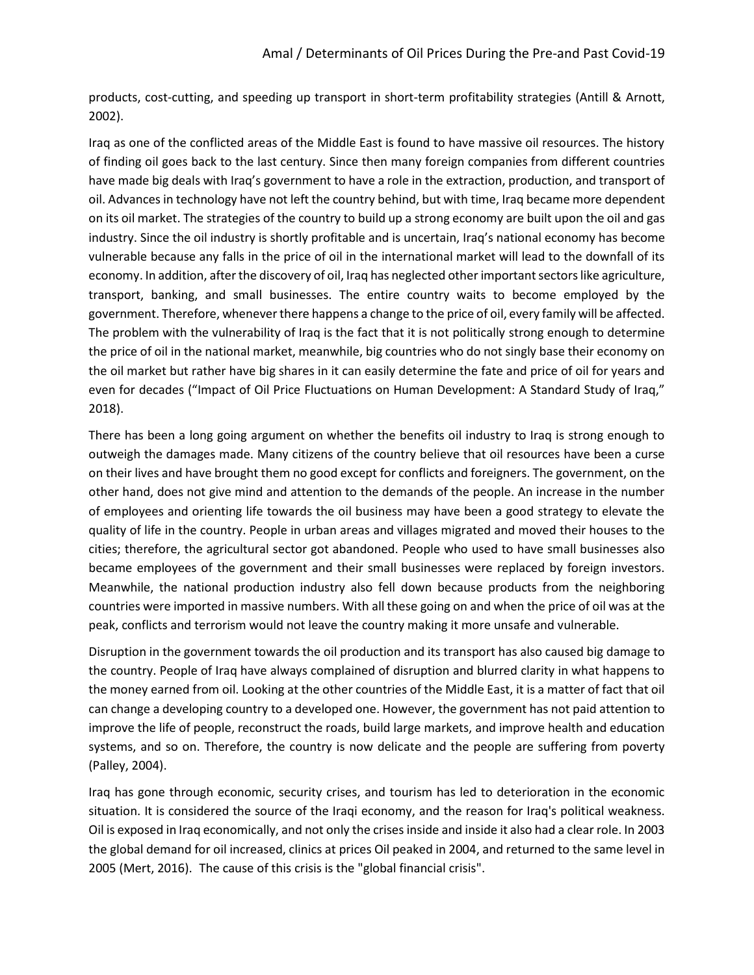products, cost-cutting, and speeding up transport in short-term profitability strategies (Antill & Arnott, 2002).

Iraq as one of the conflicted areas of the Middle East is found to have massive oil resources. The history of finding oil goes back to the last century. Since then many foreign companies from different countries have made big deals with Iraq's government to have a role in the extraction, production, and transport of oil. Advances in technology have not left the country behind, but with time, Iraq became more dependent on its oil market. The strategies of the country to build up a strong economy are built upon the oil and gas industry. Since the oil industry is shortly profitable and is uncertain, Iraq's national economy has become vulnerable because any falls in the price of oil in the international market will lead to the downfall of its economy. In addition, after the discovery of oil, Iraq has neglected other important sectors like agriculture, transport, banking, and small businesses. The entire country waits to become employed by the government. Therefore, whenever there happens a change to the price of oil, every family will be affected. The problem with the vulnerability of Iraq is the fact that it is not politically strong enough to determine the price of oil in the national market, meanwhile, big countries who do not singly base their economy on the oil market but rather have big shares in it can easily determine the fate and price of oil for years and even for decades ("Impact of Oil Price Fluctuations on Human Development: A Standard Study of Iraq," 2018).

There has been a long going argument on whether the benefits oil industry to Iraq is strong enough to outweigh the damages made. Many citizens of the country believe that oil resources have been a curse on their lives and have brought them no good except for conflicts and foreigners. The government, on the other hand, does not give mind and attention to the demands of the people. An increase in the number of employees and orienting life towards the oil business may have been a good strategy to elevate the quality of life in the country. People in urban areas and villages migrated and moved their houses to the cities; therefore, the agricultural sector got abandoned. People who used to have small businesses also became employees of the government and their small businesses were replaced by foreign investors. Meanwhile, the national production industry also fell down because products from the neighboring countries were imported in massive numbers. With all these going on and when the price of oil was at the peak, conflicts and terrorism would not leave the country making it more unsafe and vulnerable.

Disruption in the government towards the oil production and its transport has also caused big damage to the country. People of Iraq have always complained of disruption and blurred clarity in what happens to the money earned from oil. Looking at the other countries of the Middle East, it is a matter of fact that oil can change a developing country to a developed one. However, the government has not paid attention to improve the life of people, reconstruct the roads, build large markets, and improve health and education systems, and so on. Therefore, the country is now delicate and the people are suffering from poverty (Palley, 2004).

Iraq has gone through economic, security crises, and tourism has led to deterioration in the economic situation. It is considered the source of the Iraqi economy, and the reason for Iraq's political weakness. Oil is exposed in Iraq economically, and not only the crises inside and inside it also had a clear role. In 2003 the global demand for oil increased, clinics at prices Oil peaked in 2004, and returned to the same level in 2005 (Mert, 2016). The cause of this crisis is the "global financial crisis".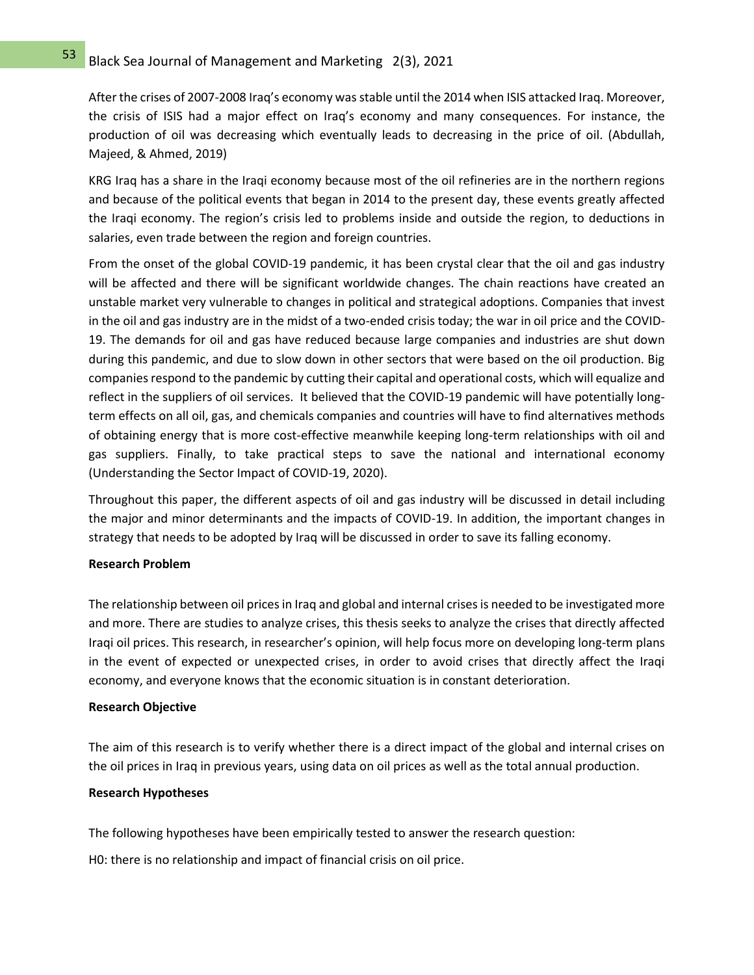After the crises of 2007-2008 Iraq's economy was stable until the 2014 when ISIS attacked Iraq. Moreover, the crisis of ISIS had a major effect on Iraq's economy and many consequences. For instance, the production of oil was decreasing which eventually leads to decreasing in the price of oil. (Abdullah, Majeed, & Ahmed, 2019)

KRG Iraq has a share in the Iraqi economy because most of the oil refineries are in the northern regions and because of the political events that began in 2014 to the present day, these events greatly affected the Iraqi economy. The region's crisis led to problems inside and outside the region, to deductions in salaries, even trade between the region and foreign countries.

From the onset of the global COVID-19 pandemic, it has been crystal clear that the oil and gas industry will be affected and there will be significant worldwide changes. The chain reactions have created an unstable market very vulnerable to changes in political and strategical adoptions. Companies that invest in the oil and gas industry are in the midst of a two-ended crisis today; the war in oil price and the COVID-19. The demands for oil and gas have reduced because large companies and industries are shut down during this pandemic, and due to slow down in other sectors that were based on the oil production. Big companies respond to the pandemic by cutting their capital and operational costs, which will equalize and reflect in the suppliers of oil services. It believed that the COVID-19 pandemic will have potentially longterm effects on all oil, gas, and chemicals companies and countries will have to find alternatives methods of obtaining energy that is more cost-effective meanwhile keeping long-term relationships with oil and gas suppliers. Finally, to take practical steps to save the national and international economy (Understanding the Sector Impact of COVID-19, 2020).

Throughout this paper, the different aspects of oil and gas industry will be discussed in detail including the major and minor determinants and the impacts of COVID-19. In addition, the important changes in strategy that needs to be adopted by Iraq will be discussed in order to save its falling economy.

### **Research Problem**

The relationship between oil prices in Iraq and global and internal crises is needed to be investigated more and more. There are studies to analyze crises, this thesis seeks to analyze the crises that directly affected Iraqi oil prices. This research, in researcher's opinion, will help focus more on developing long-term plans in the event of expected or unexpected crises, in order to avoid crises that directly affect the Iraqi economy, and everyone knows that the economic situation is in constant deterioration.

### **Research Objective**

The aim of this research is to verify whether there is a direct impact of the global and internal crises on the oil prices in Iraq in previous years, using data on oil prices as well as the total annual production.

### **Research Hypotheses**

The following hypotheses have been empirically tested to answer the research question:

H0: there is no relationship and impact of financial crisis on oil price.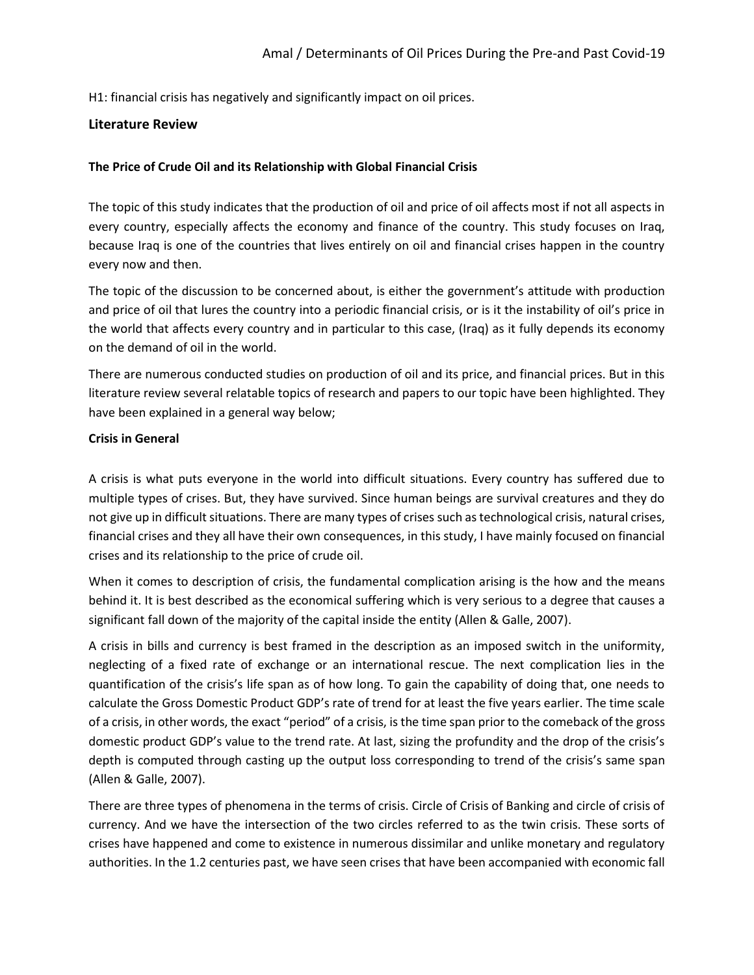H1: financial crisis has negatively and significantly impact on oil prices.

## **Literature Review**

## **The Price of Crude Oil and its Relationship with Global Financial Crisis**

The topic of this study indicates that the production of oil and price of oil affects most if not all aspects in every country, especially affects the economy and finance of the country. This study focuses on Iraq, because Iraq is one of the countries that lives entirely on oil and financial crises happen in the country every now and then.

The topic of the discussion to be concerned about, is either the government's attitude with production and price of oil that lures the country into a periodic financial crisis, or is it the instability of oil's price in the world that affects every country and in particular to this case, (Iraq) as it fully depends its economy on the demand of oil in the world.

There are numerous conducted studies on production of oil and its price, and financial prices. But in this literature review several relatable topics of research and papers to our topic have been highlighted. They have been explained in a general way below;

## **Crisis in General**

A crisis is what puts everyone in the world into difficult situations. Every country has suffered due to multiple types of crises. But, they have survived. Since human beings are survival creatures and they do not give up in difficult situations. There are many types of crises such as technological crisis, natural crises, financial crises and they all have their own consequences, in this study, I have mainly focused on financial crises and its relationship to the price of crude oil.

When it comes to description of crisis, the fundamental complication arising is the how and the means behind it. It is best described as the economical suffering which is very serious to a degree that causes a significant fall down of the majority of the capital inside the entity (Allen & Galle, 2007).

A crisis in bills and currency is best framed in the description as an imposed switch in the uniformity, neglecting of a fixed rate of exchange or an international rescue. The next complication lies in the quantification of the crisis's life span as of how long. To gain the capability of doing that, one needs to calculate the Gross Domestic Product GDP's rate of trend for at least the five years earlier. The time scale of a crisis, in other words, the exact "period" of a crisis, is the time span prior to the comeback of the gross domestic product GDP's value to the trend rate. At last, sizing the profundity and the drop of the crisis's depth is computed through casting up the output loss corresponding to trend of the crisis's same span (Allen & Galle, 2007).

There are three types of phenomena in the terms of crisis. Circle of Crisis of Banking and circle of crisis of currency. And we have the intersection of the two circles referred to as the twin crisis. These sorts of crises have happened and come to existence in numerous dissimilar and unlike monetary and regulatory authorities. In the 1.2 centuries past, we have seen crises that have been accompanied with economic fall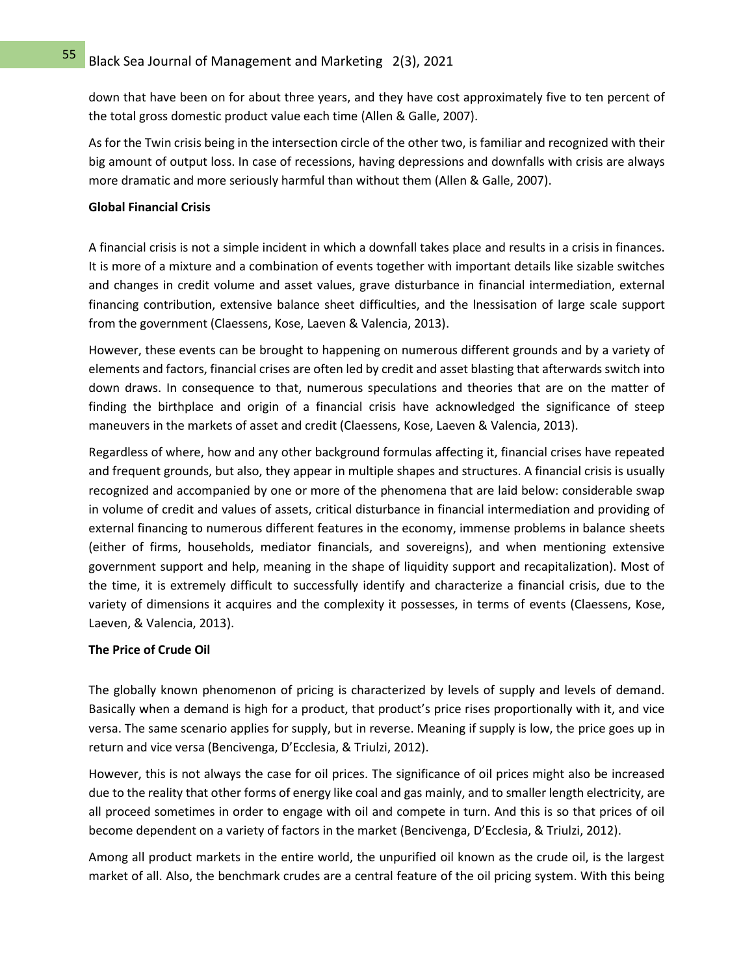down that have been on for about three years, and they have cost approximately five to ten percent of the total gross domestic product value each time (Allen & Galle, 2007).

As for the Twin crisis being in the intersection circle of the other two, is familiar and recognized with their big amount of output loss. In case of recessions, having depressions and downfalls with crisis are always more dramatic and more seriously harmful than without them (Allen & Galle, 2007).

## **Global Financial Crisis**

A financial crisis is not a simple incident in which a downfall takes place and results in a crisis in finances. It is more of a mixture and a combination of events together with important details like sizable switches and changes in credit volume and asset values, grave disturbance in financial intermediation, external financing contribution, extensive balance sheet difficulties, and the lnessisation of large scale support from the government (Claessens, Kose, Laeven & Valencia, 2013).

However, these events can be brought to happening on numerous different grounds and by a variety of elements and factors, financial crises are often led by credit and asset blasting that afterwards switch into down draws. In consequence to that, numerous speculations and theories that are on the matter of finding the birthplace and origin of a financial crisis have acknowledged the significance of steep maneuvers in the markets of asset and credit (Claessens, Kose, Laeven & Valencia, 2013).

Regardless of where, how and any other background formulas affecting it, financial crises have repeated and frequent grounds, but also, they appear in multiple shapes and structures. A financial crisis is usually recognized and accompanied by one or more of the phenomena that are laid below: considerable swap in volume of credit and values of assets, critical disturbance in financial intermediation and providing of external financing to numerous different features in the economy, immense problems in balance sheets (either of firms, households, mediator financials, and sovereigns), and when mentioning extensive government support and help, meaning in the shape of liquidity support and recapitalization). Most of the time, it is extremely difficult to successfully identify and characterize a financial crisis, due to the variety of dimensions it acquires and the complexity it possesses, in terms of events (Claessens, Kose, Laeven, & Valencia, 2013).

## **The Price of Crude Oil**

The globally known phenomenon of pricing is characterized by levels of supply and levels of demand. Basically when a demand is high for a product, that product's price rises proportionally with it, and vice versa. The same scenario applies for supply, but in reverse. Meaning if supply is low, the price goes up in return and vice versa (Bencivenga, D'Ecclesia, & Triulzi, 2012).

However, this is not always the case for oil prices. The significance of oil prices might also be increased due to the reality that other forms of energy like coal and gas mainly, and to smaller length electricity, are all proceed sometimes in order to engage with oil and compete in turn. And this is so that prices of oil become dependent on a variety of factors in the market (Bencivenga, D'Ecclesia, & Triulzi, 2012).

Among all product markets in the entire world, the unpurified oil known as the crude oil, is the largest market of all. Also, the benchmark crudes are a central feature of the oil pricing system. With this being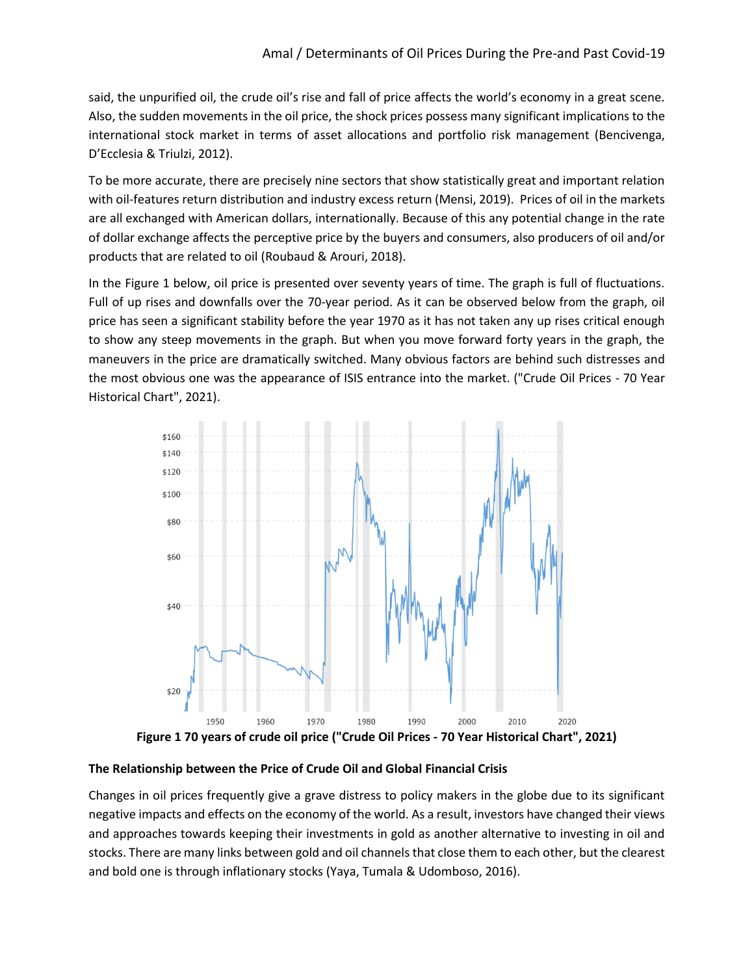said, the unpurified oil, the crude oil's rise and fall of price affects the world's economy in a great scene. Also, the sudden movements in the oil price, the shock prices possess many significant implications to the international stock market in terms of asset allocations and portfolio risk management (Bencivenga, D'Ecclesia & Triulzi, 2012).

To be more accurate, there are precisely nine sectors that show statistically great and important relation with oil-features return distribution and industry excess return (Mensi, 2019). Prices of oil in the markets are all exchanged with American dollars, internationally. Because of this any potential change in the rate of dollar exchange affects the perceptive price by the buyers and consumers, also producers of oil and/or products that are related to oil (Roubaud & Arouri, 2018).

In the Figure 1 below, oil price is presented over seventy years of time. The graph is full of fluctuations. Full of up rises and downfalls over the 70-year period. As it can be observed below from the graph, oil price has seen a significant stability before the year 1970 as it has not taken any up rises critical enough to show any steep movements in the graph. But when you move forward forty years in the graph, the maneuvers in the price are dramatically switched. Many obvious factors are behind such distresses and the most obvious one was the appearance of ISIS entrance into the market. ("Crude Oil Prices - 70 Year Historical Chart", 2021).



**The Relationship between the Price of Crude Oil and Global Financial Crisis**

Changes in oil prices frequently give a grave distress to policy makers in the globe due to its significant negative impacts and effects on the economy of the world. As a result, investors have changed their views and approaches towards keeping their investments in gold as another alternative to investing in oil and stocks. There are many links between gold and oil channels that close them to each other, but the clearest and bold one is through inflationary stocks (Yaya, Tumala & Udomboso, 2016).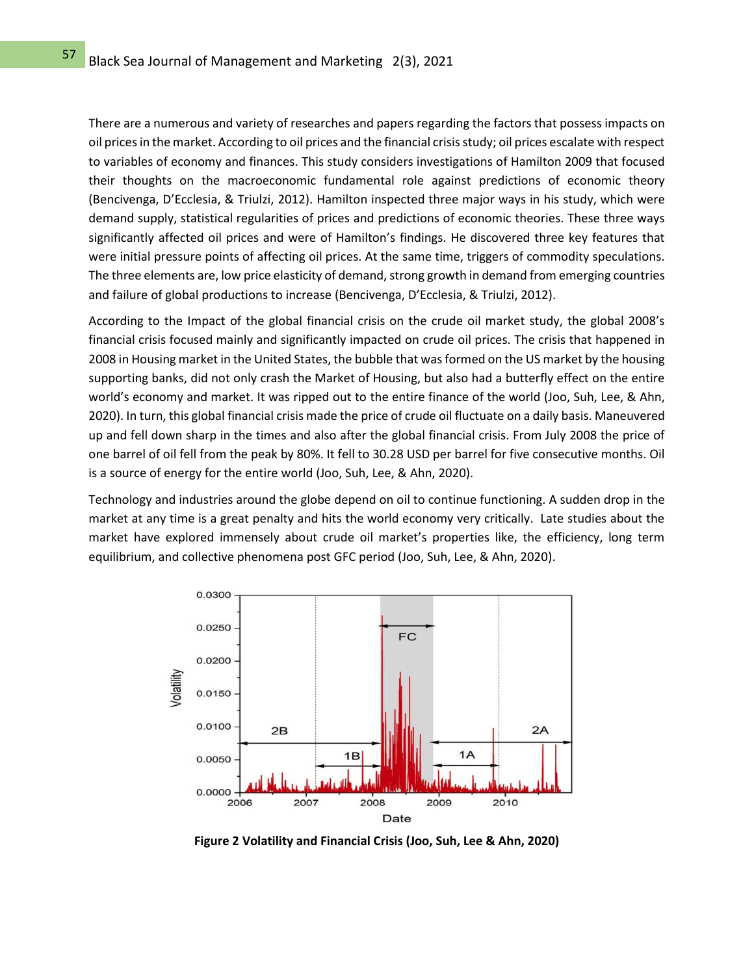There are a numerous and variety of researches and papers regarding the factors that possess impacts on oil prices in the market. According to oil prices and the financial crisis study; oil prices escalate with respect to variables of economy and finances. This study considers investigations of Hamilton 2009 that focused their thoughts on the macroeconomic fundamental role against predictions of economic theory (Bencivenga, D'Ecclesia, & Triulzi, 2012). Hamilton inspected three major ways in his study, which were demand supply, statistical regularities of prices and predictions of economic theories. These three ways significantly affected oil prices and were of Hamilton's findings. He discovered three key features that were initial pressure points of affecting oil prices. At the same time, triggers of commodity speculations. The three elements are, low price elasticity of demand, strong growth in demand from emerging countries and failure of global productions to increase (Bencivenga, D'Ecclesia, & Triulzi, 2012).

According to the Impact of the global financial crisis on the crude oil market study, the global 2008's financial crisis focused mainly and significantly impacted on crude oil prices. The crisis that happened in 2008 in Housing market in the United States, the bubble that was formed on the US market by the housing supporting banks, did not only crash the Market of Housing, but also had a butterfly effect on the entire world's economy and market. It was ripped out to the entire finance of the world (Joo, Suh, Lee, & Ahn, 2020). In turn, this global financial crisis made the price of crude oil fluctuate on a daily basis. Maneuvered up and fell down sharp in the times and also after the global financial crisis. From July 2008 the price of one barrel of oil fell from the peak by 80%. It fell to 30.28 USD per barrel for five consecutive months. Oil is a source of energy for the entire world (Joo, Suh, Lee, & Ahn, 2020).

Technology and industries around the globe depend on oil to continue functioning. A sudden drop in the market at any time is a great penalty and hits the world economy very critically. Late studies about the market have explored immensely about crude oil market's properties like, the efficiency, long term equilibrium, and collective phenomena post GFC period (Joo, Suh, Lee, & Ahn, 2020).



**Figure 2 Volatility and Financial Crisis (Joo, Suh, Lee & Ahn, 2020)**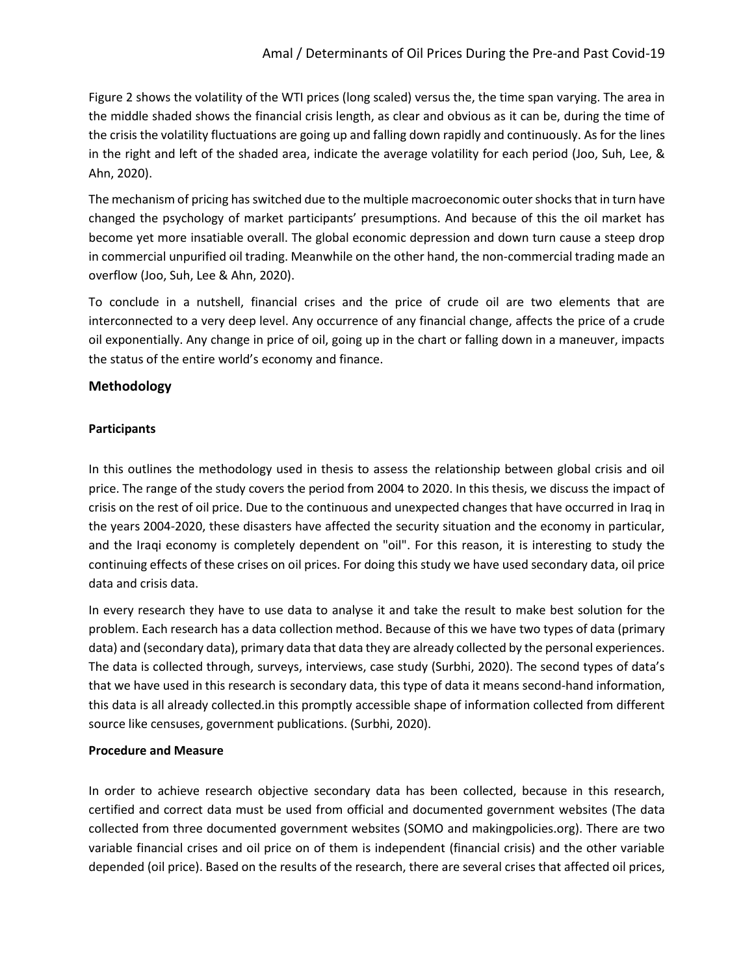Figure 2 shows the volatility of the WTI prices (long scaled) versus the, the time span varying. The area in the middle shaded shows the financial crisis length, as clear and obvious as it can be, during the time of the crisis the volatility fluctuations are going up and falling down rapidly and continuously. As for the lines in the right and left of the shaded area, indicate the average volatility for each period (Joo, Suh, Lee, & Ahn, 2020).

The mechanism of pricing has switched due to the multiple macroeconomic outer shocks that in turn have changed the psychology of market participants' presumptions. And because of this the oil market has become yet more insatiable overall. The global economic depression and down turn cause a steep drop in commercial unpurified oil trading. Meanwhile on the other hand, the non-commercial trading made an overflow (Joo, Suh, Lee & Ahn, 2020).

To conclude in a nutshell, financial crises and the price of crude oil are two elements that are interconnected to a very deep level. Any occurrence of any financial change, affects the price of a crude oil exponentially. Any change in price of oil, going up in the chart or falling down in a maneuver, impacts the status of the entire world's economy and finance.

## **Methodology**

## **Participants**

In this outlines the methodology used in thesis to assess the relationship between global crisis and oil price. The range of the study covers the period from 2004 to 2020. In this thesis, we discuss the impact of crisis on the rest of oil price. Due to the continuous and unexpected changes that have occurred in Iraq in the years 2004-2020, these disasters have affected the security situation and the economy in particular, and the Iraqi economy is completely dependent on "oil". For this reason, it is interesting to study the continuing effects of these crises on oil prices. For doing this study we have used secondary data, oil price data and crisis data.

In every research they have to use data to analyse it and take the result to make best solution for the problem. Each research has a data collection method. Because of this we have two types of data (primary data) and (secondary data), primary data that data they are already collected by the personal experiences. The data is collected through, surveys, interviews, case study (Surbhi, 2020). The second types of data's that we have used in this research is secondary data, this type of data it means second-hand information, this data is all already collected.in this promptly accessible shape of information collected from different source like censuses, government publications. (Surbhi, 2020).

## **Procedure and Measure**

In order to achieve research objective secondary data has been collected, because in this research, certified and correct data must be used from official and documented government websites (The data collected from three documented government websites (SOMO and makingpolicies.org). There are two variable financial crises and oil price on of them is independent (financial crisis) and the other variable depended (oil price). Based on the results of the research, there are several crises that affected oil prices,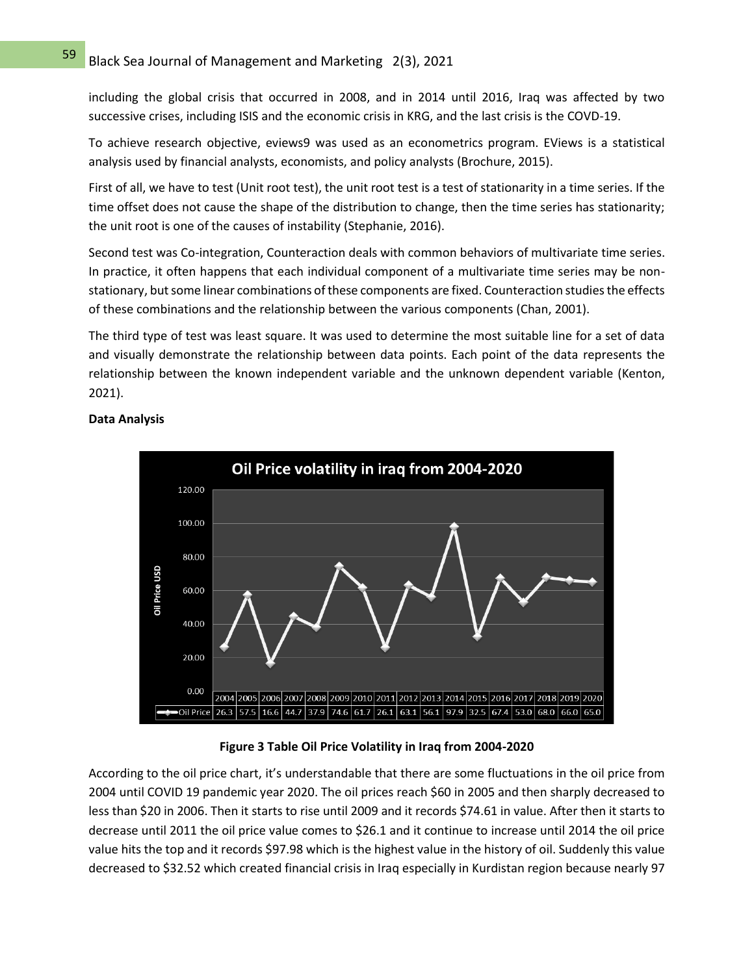including the global crisis that occurred in 2008, and in 2014 until 2016, Iraq was affected by two successive crises, including ISIS and the economic crisis in KRG, and the last crisis is the COVD-19.

To achieve research objective, eviews9 was used as an econometrics program. EViews is a statistical analysis used by financial analysts, economists, and policy analysts (Brochure, 2015).

First of all, we have to test (Unit root test), the unit root test is a test of stationarity in a time series. If the time offset does not cause the shape of the distribution to change, then the time series has stationarity; the unit root is one of the causes of instability (Stephanie, 2016).

Second test was Co-integration, Counteraction deals with common behaviors of multivariate time series. In practice, it often happens that each individual component of a multivariate time series may be nonstationary, but some linear combinations of these components are fixed. Counteraction studies the effects of these combinations and the relationship between the various components (Chan, 2001).

The third type of test was least square. It was used to determine the most suitable line for a set of data and visually demonstrate the relationship between data points. Each point of the data represents the relationship between the known independent variable and the unknown dependent variable (Kenton, 2021).



## **Data Analysis**

**Figure 3 Table Oil Price Volatility in Iraq from 2004-2020**

According to the oil price chart, it's understandable that there are some fluctuations in the oil price from 2004 until COVID 19 pandemic year 2020. The oil prices reach \$60 in 2005 and then sharply decreased to less than \$20 in 2006. Then it starts to rise until 2009 and it records \$74.61 in value. After then it starts to decrease until 2011 the oil price value comes to \$26.1 and it continue to increase until 2014 the oil price value hits the top and it records \$97.98 which is the highest value in the history of oil. Suddenly this value decreased to \$32.52 which created financial crisis in Iraq especially in Kurdistan region because nearly 97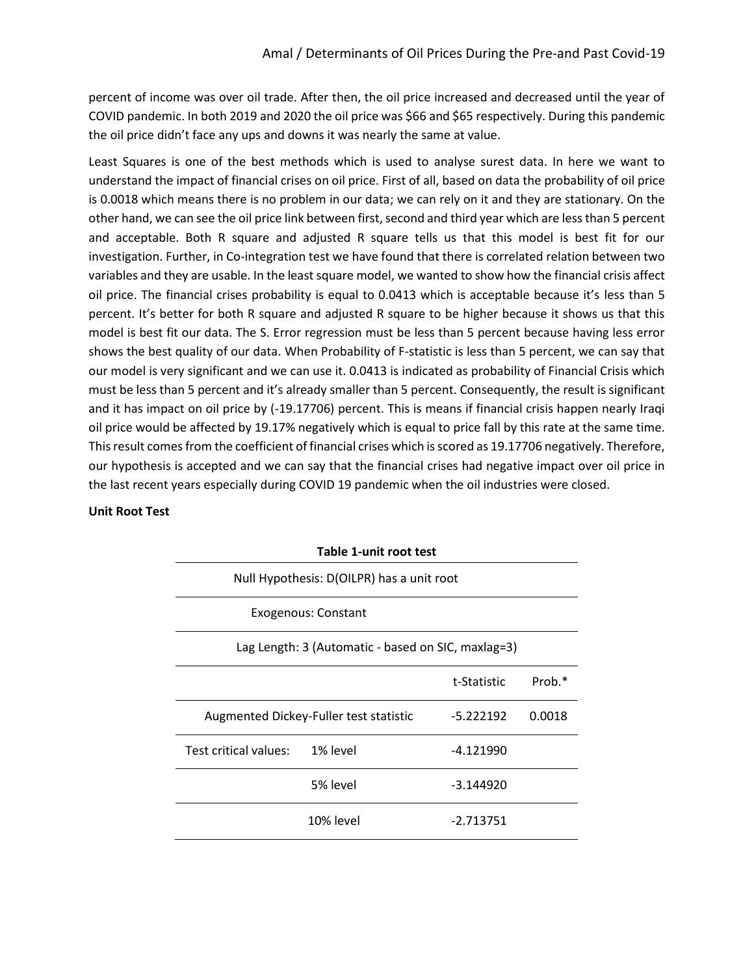percent of income was over oil trade. After then, the oil price increased and decreased until the year of COVID pandemic. In both 2019 and 2020 the oil price was \$66 and \$65 respectively. During this pandemic the oil price didn't face any ups and downs it was nearly the same at value.

Least Squares is one of the best methods which is used to analyse surest data. In here we want to understand the impact of financial crises on oil price. First of all, based on data the probability of oil price is 0.0018 which means there is no problem in our data; we can rely on it and they are stationary. On the other hand, we can see the oil price link between first, second and third year which are less than 5 percent and acceptable. Both R square and adjusted R square tells us that this model is best fit for our investigation. Further, in Co-integration test we have found that there is correlated relation between two variables and they are usable. In the least square model, we wanted to show how the financial crisis affect oil price. The financial crises probability is equal to 0.0413 which is acceptable because it's less than 5 percent. It's better for both R square and adjusted R square to be higher because it shows us that this model is best fit our data. The S. Error regression must be less than 5 percent because having less error shows the best quality of our data. When Probability of F-statistic is less than 5 percent, we can say that our model is very significant and we can use it. 0.0413 is indicated as probability of Financial Crisis which must be less than 5 percent and it's already smaller than 5 percent. Consequently, the result is significant and it has impact on oil price by (-19.17706) percent. This is means if financial crisis happen nearly Iraqi oil price would be affected by 19.17% negatively which is equal to price fall by this rate at the same time. This result comes from the coefficient of financial crises which is scored as 19.17706 negatively. Therefore, our hypothesis is accepted and we can say that the financial crises had negative impact over oil price in the last recent years especially during COVID 19 pandemic when the oil industries were closed.

## **Unit Root Test**

| Table 1-unit root test                             |           |             |        |  |  |  |
|----------------------------------------------------|-----------|-------------|--------|--|--|--|
| Null Hypothesis: D(OILPR) has a unit root          |           |             |        |  |  |  |
| Exogenous: Constant                                |           |             |        |  |  |  |
| Lag Length: 3 (Automatic - based on SIC, maxlag=3) |           |             |        |  |  |  |
|                                                    |           | t-Statistic | Prob.* |  |  |  |
| Augmented Dickey-Fuller test statistic             |           | $-5.222192$ | 0.0018 |  |  |  |
| Test critical values: 1% level                     |           | $-4.121990$ |        |  |  |  |
|                                                    | 5% level  | -3.144920   |        |  |  |  |
|                                                    | 10% level | $-2.713751$ |        |  |  |  |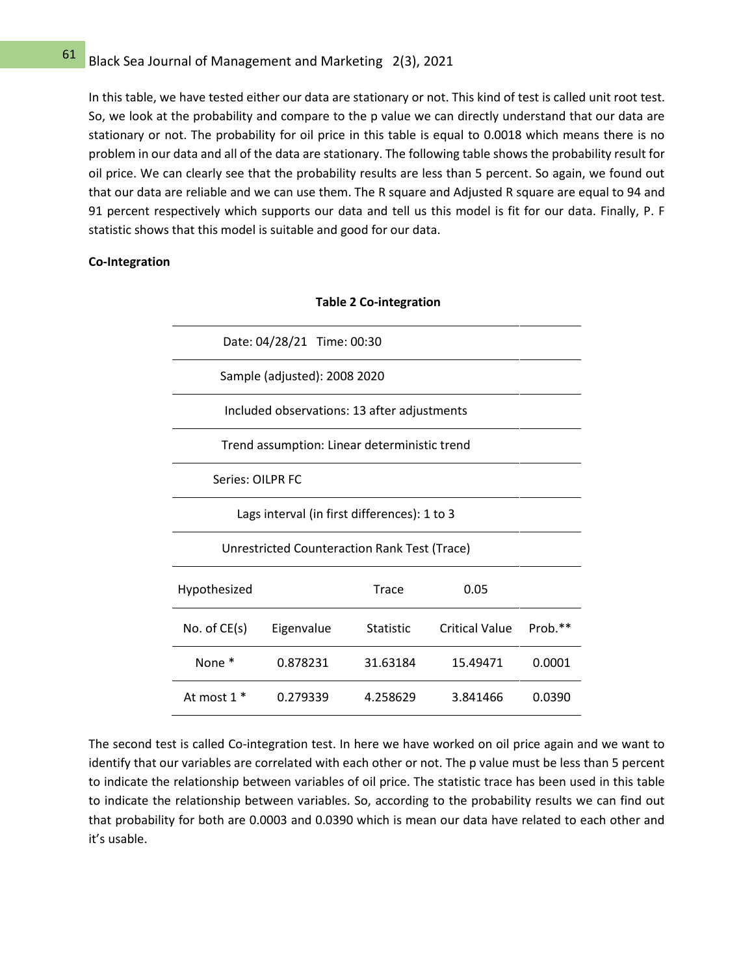# $\frac{61}{10}$  Black Sea Journal of Management and Marketing 2(3), 2021

In this table, we have tested either our data are stationary or not. This kind of test is called unit root test. So, we look at the probability and compare to the p value we can directly understand that our data are stationary or not. The probability for oil price in this table is equal to 0.0018 which means there is no problem in our data and all of the data are stationary. The following table shows the probability result for oil price. We can clearly see that the probability results are less than 5 percent. So again, we found out that our data are reliable and we can use them. The R square and Adjusted R square are equal to 94 and 91 percent respectively which supports our data and tell us this model is fit for our data. Finally, P. F statistic shows that this model is suitable and good for our data.

### **Co-Integration**

| Date: 04/28/21 Time: 00:30                   |            |           |                       |           |  |  |  |
|----------------------------------------------|------------|-----------|-----------------------|-----------|--|--|--|
| Sample (adjusted): 2008 2020                 |            |           |                       |           |  |  |  |
| Included observations: 13 after adjustments  |            |           |                       |           |  |  |  |
| Trend assumption: Linear deterministic trend |            |           |                       |           |  |  |  |
| Series: OILPR FC                             |            |           |                       |           |  |  |  |
| Lags interval (in first differences): 1 to 3 |            |           |                       |           |  |  |  |
| Unrestricted Counteraction Rank Test (Trace) |            |           |                       |           |  |  |  |
| Hypothesized                                 |            | Trace     | 0.05                  |           |  |  |  |
| No. of CE(s)                                 | Eigenvalue | Statistic | <b>Critical Value</b> | $Prob.**$ |  |  |  |
| None *                                       | 0.878231   | 31.63184  | 15.49471              | 0.0001    |  |  |  |
| At most $1*$                                 | 0.279339   | 4.258629  | 3.841466              | 0.0390    |  |  |  |

**Table 2 Co-integration**

The second test is called Co-integration test. In here we have worked on oil price again and we want to identify that our variables are correlated with each other or not. The p value must be less than 5 percent to indicate the relationship between variables of oil price. The statistic trace has been used in this table to indicate the relationship between variables. So, according to the probability results we can find out that probability for both are 0.0003 and 0.0390 which is mean our data have related to each other and it's usable.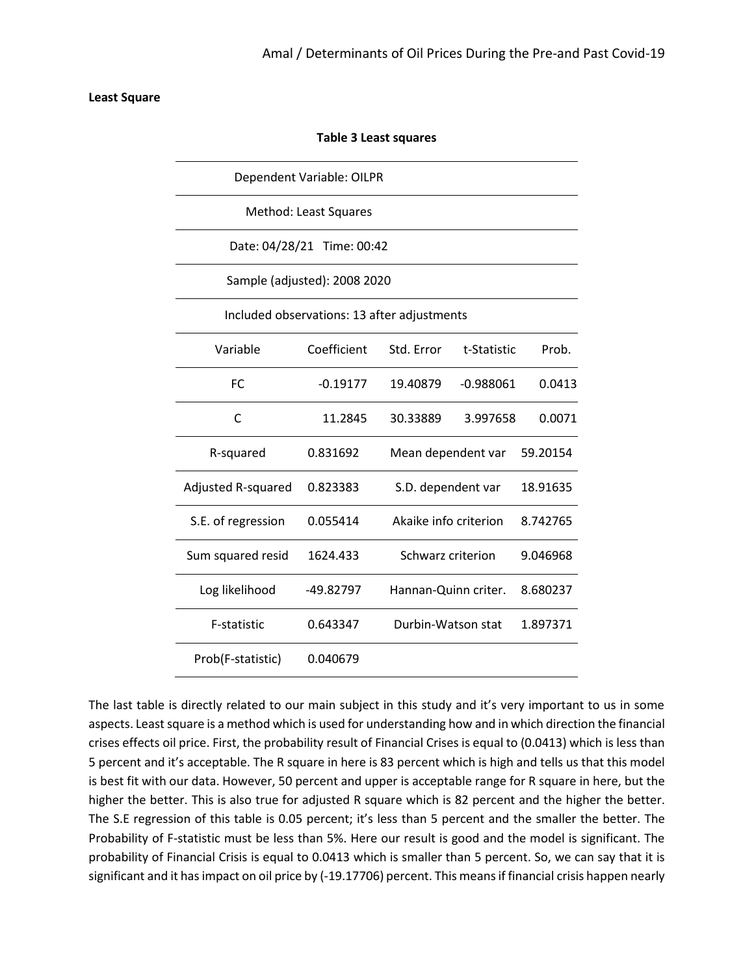### **Least Square**

| <b>Table 3 Least squares</b>                |             |                       |             |          |  |  |  |
|---------------------------------------------|-------------|-----------------------|-------------|----------|--|--|--|
| Dependent Variable: OILPR                   |             |                       |             |          |  |  |  |
| Method: Least Squares                       |             |                       |             |          |  |  |  |
| Date: 04/28/21 Time: 00:42                  |             |                       |             |          |  |  |  |
| Sample (adjusted): 2008 2020                |             |                       |             |          |  |  |  |
| Included observations: 13 after adjustments |             |                       |             |          |  |  |  |
| Variable                                    | Coefficient | Std. Error            | t-Statistic | Prob.    |  |  |  |
| <b>FC</b>                                   | $-0.19177$  | 19.40879              | $-0.988061$ | 0.0413   |  |  |  |
| C                                           | 11.2845     | 30.33889              | 3.997658    | 0.0071   |  |  |  |
| R-squared                                   | 0.831692    | Mean dependent var    |             | 59.20154 |  |  |  |
| Adjusted R-squared                          | 0.823383    | S.D. dependent var    |             | 18.91635 |  |  |  |
| S.E. of regression                          | 0.055414    | Akaike info criterion |             | 8.742765 |  |  |  |
| Sum squared resid                           | 1624.433    | Schwarz criterion     |             | 9.046968 |  |  |  |
| Log likelihood                              | -49.82797   | Hannan-Quinn criter.  |             | 8.680237 |  |  |  |
| F-statistic                                 | 0.643347    | Durbin-Watson stat    |             | 1.897371 |  |  |  |
| Prob(F-statistic)                           | 0.040679    |                       |             |          |  |  |  |

The last table is directly related to our main subject in this study and it's very important to us in some aspects. Least square is a method which is used for understanding how and in which direction the financial crises effects oil price. First, the probability result of Financial Crises is equal to (0.0413) which is less than 5 percent and it's acceptable. The R square in here is 83 percent which is high and tells us that this model is best fit with our data. However, 50 percent and upper is acceptable range for R square in here, but the higher the better. This is also true for adjusted R square which is 82 percent and the higher the better. The S.E regression of this table is 0.05 percent; it's less than 5 percent and the smaller the better. The Probability of F-statistic must be less than 5%. Here our result is good and the model is significant. The probability of Financial Crisis is equal to 0.0413 which is smaller than 5 percent. So, we can say that it is significant and it has impact on oil price by (-19.17706) percent. This means if financial crisis happen nearly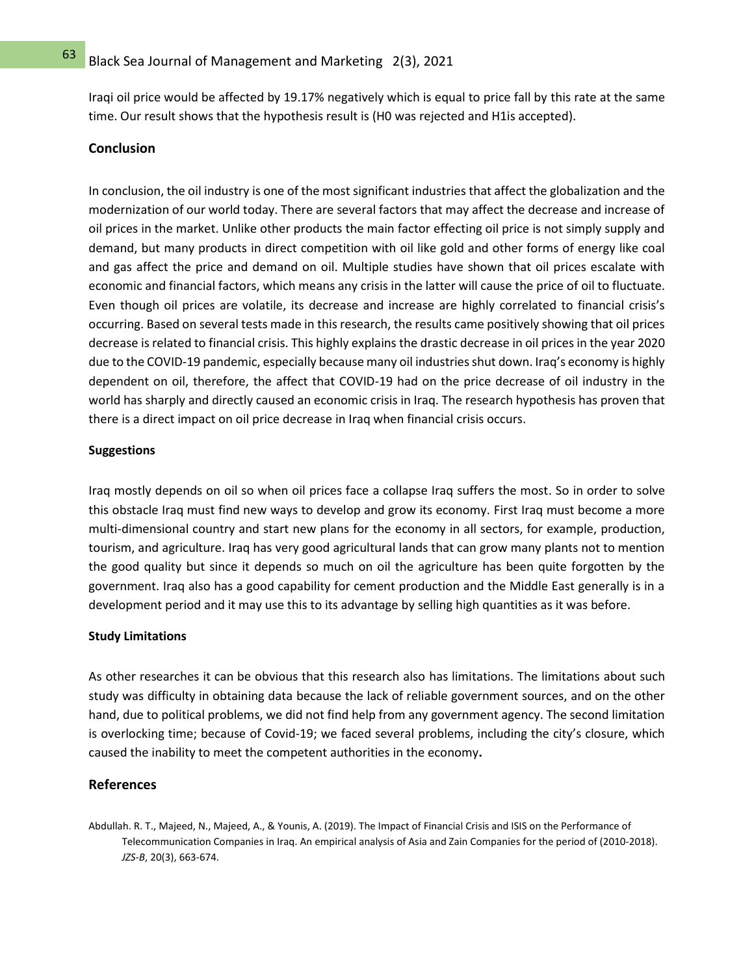Iraqi oil price would be affected by 19.17% negatively which is equal to price fall by this rate at the same time. Our result shows that the hypothesis result is (H0 was rejected and H1is accepted).

### **Conclusion**

In conclusion, the oil industry is one of the most significant industries that affect the globalization and the modernization of our world today. There are several factors that may affect the decrease and increase of oil prices in the market. Unlike other products the main factor effecting oil price is not simply supply and demand, but many products in direct competition with oil like gold and other forms of energy like coal and gas affect the price and demand on oil. Multiple studies have shown that oil prices escalate with economic and financial factors, which means any crisis in the latter will cause the price of oil to fluctuate. Even though oil prices are volatile, its decrease and increase are highly correlated to financial crisis's occurring. Based on several tests made in this research, the results came positively showing that oil prices decrease is related to financial crisis. This highly explains the drastic decrease in oil prices in the year 2020 due to the COVID-19 pandemic, especially because many oil industries shut down. Iraq's economy is highly dependent on oil, therefore, the affect that COVID-19 had on the price decrease of oil industry in the world has sharply and directly caused an economic crisis in Iraq. The research hypothesis has proven that there is a direct impact on oil price decrease in Iraq when financial crisis occurs.

### **Suggestions**

Iraq mostly depends on oil so when oil prices face a collapse Iraq suffers the most. So in order to solve this obstacle Iraq must find new ways to develop and grow its economy. First Iraq must become a more multi-dimensional country and start new plans for the economy in all sectors, for example, production, tourism, and agriculture. Iraq has very good agricultural lands that can grow many plants not to mention the good quality but since it depends so much on oil the agriculture has been quite forgotten by the government. Iraq also has a good capability for cement production and the Middle East generally is in a development period and it may use this to its advantage by selling high quantities as it was before.

## **Study Limitations**

As other researches it can be obvious that this research also has limitations. The limitations about such study was difficulty in obtaining data because the lack of reliable government sources, and on the other hand, due to political problems, we did not find help from any government agency. The second limitation is overlocking time; because of Covid-19; we faced several problems, including the city's closure, which caused the inability to meet the competent authorities in the economy **.**

## **References**

Abdullah. R. T., Majeed, N., Majeed, A., & Younis, A. (2019). The Impact of Financial Crisis and ISIS on the Performance of Telecommunication Companies in Iraq. An empirical analysis of Asia and Zain Companies for the period of (2010-2018). *JZS-B*, 20(3), 663-674.